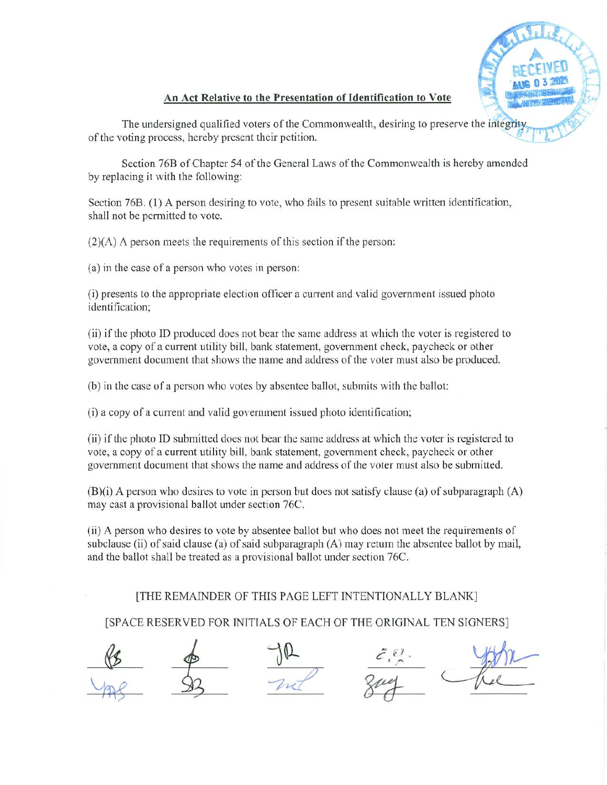

## An Act Relative to the Presentation of Identification to Vote

The undersigned qualified voters of the Commonwealth, desiring to preserve the integrity of the voting process, hereby present their petition.

Section 76B of Chapter 54 of the General Laws of the Commonwealth is hereby amended by replacing it with the following:

Section 76B. (1) A person desiring to vote, who fails to present suitable written identification, shall not be permitted to vote.

 $(2)(A)$  A person meets the requirements of this section if the person:

(a) in the case of a person who votes in person:

(i) presents to the appropriate election officer a current and valid government issued photo identification;

(ii) ifthe photo ID produced does not bear the same address at which the voter is registered to vote, a copy of a current utility bill, bank statement, government check, paycheck or other government document that shows the name and address of the voter must also be produced.

(b) in the case of a person who votes by absentee ballot, submits with the ballot:

(i) a copy of a current and valid government issued photo identification;

(ii) ifthe photo ID submitted does not bear the same address at which the voter is registered to vote, a copy of a current utility bill, bank statement, government check, paycheck or other government document that shows the name and address of the voter must also be submitted.

 $(B)(i)$  A person who desires to vote in person but does not satisfy clause (a) of subparagraph  $(A)$ may cast a provisional ballot under section 76C.

(ii) A person who desires to vote by absentee ballot but who does not meet the requirements of subclause (ii) of said clause (a) of said subparagraph  $(A)$  may return the absentee ballot by mail, and the ballot shall be treated as a provisional ballot under section 76C.

## [THE REMAINDER OF THIS PAGE LEFT INTENTIONALLY BLANK]

[SPACE RESERVED FOR INITIALS OF EACH OF THE ORIGINAL TEN SIGNERS]